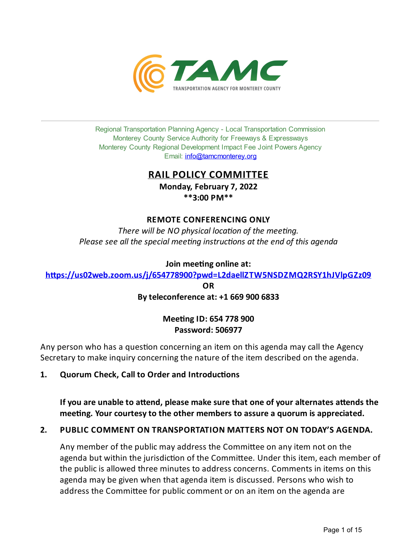

Regional Transportation Planning Agency - Local Transportation Commission Monterey County Service Authority for Freeways & Expressways Monterey County Regional Development Impact Fee Joint Powers Agency Email: *[info@tamcmonterey.org](file:///C:/Windows/TEMP/info@tamcmonterey.org)* 

## **RAIL POLICY COMMITTEE**

**Monday, February 7, 2022 \*\*3:00 PM\*\***

## **REMOTE CONFERENCING ONLY**

*There* will be NO physical location of the meeting. *Please see* all the *special* meeting *instructions* at the end of this agenda

**Join** meeting online at:

**[h\(ps://us02web.zoom.us/j/654778900?pwd=L2daellZTW5NSDZMQ2RSY1hJVlpGZz09](https://us02web.zoom.us/j/654778900?pwd=L2daellZTW5NSDZMQ2RSY1hJVlpGZz09)**

**OR Byteleconference at: +1 669 900 6833**

## **Mee#ngID: 654 778 900 Password: 506977**

Any person who has a question concerning an item on this agenda may call the Agency Secretary to make inquiry concerning the nature of the item described on the agenda.

1. **Quorum Check, Call to Order and Introductions** 

**If you** are unable to attend, please make sure that one of your alternates attends the **mee#ng. Your courtesyto the other members to assure a quorum is appreciated.**

## **2. PUBLIC COMMENT ON TRANSPORTATION MATTERS NOT ON TODAY'S AGENDA.**

Any member of the public may address the Committee on any item not on the agenda but within the jurisdiction of the Committee. Under this item, each member of the public is allowed three minutes to address concerns. Comments in items on this agenda may be given when that agenda item is discussed. Persons who wish to address the Committee for public comment or on an item on the agenda are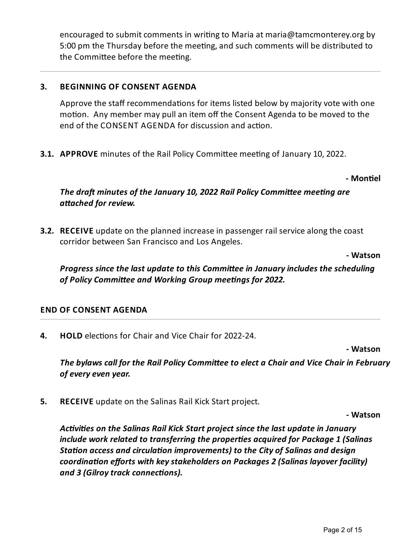encouraged to submit comments in writing to Maria at maria@tamcmonterey.org by 5:00 pm the Thursday before the meeting, and such comments will be distributed to the Committee before the meeting.

## **3. BEGINNING OF CONSENT AGENDA**

Approve the staff recommendations for items listed below by majority vote with one motion. Any member may pull an item off the Consent Agenda to be moved to the end of the CONSENT AGENDA for discussion and action.

**3.1. APPROVE** minutes of the Rail Policy Committee meeting of January 10, 2022.

### **- Mon#el**

# *The draft minutes of the January* 10, 2022 *Rail Policy Committee meeting are*  $a$ *ttached for review.*

**3.2. RECEIVE** update on the planned increase in passenger rail service along the coast corridor between San Francisco and Los Angeles.

**- Watson**

*Progress since the last update to this Committee in January includes the scheduling of* Policy Committee and Working Group meetings for 2022.

## **END OF CONSENT AGENDA**

**4. HOLD** elections for Chair and Vice Chair for 2022-24.

**- Watson**

*The bylaws call for the Rail Policy Commieeto elect a Chair and Vice Chair in February ofeveryeven year.*

**5. RECEIVE** update on the Salinas Rail Kick Start project.

**- Watson**

*Acvies on the Salinas Rail Kick Start project sincethelast updatein January include work related to transferring the properes acquired for Package 1 (Salinas Station access and circulation improvements) to the City of Salinas and design coordinaon efforts with keystakeholders on Packages 2 (Salinas layover facility)* **and 3 (Gilroy track connections).**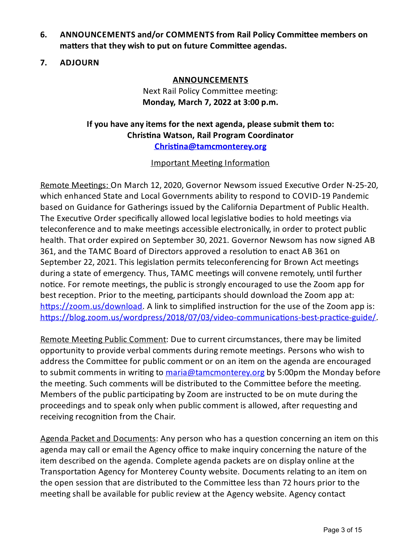- **6. ANNOUNCEMENTS and/or COMMENTS from Rail Policy Commi(ee members on matters** that they wish to put on future Committee agendas.
- **7. ADJOURN**

## **ANNOUNCEMENTS**

Next Rail Policy Committee meeting: **Monday, March 7, 2022 at 3:00 p.m.**

# **Ifyou have anyitems for the next agenda, please submit them to: Chris#na Watson, Rail Program Coordinator [Chris#na@tamcmonterey.org](mailto:Christina@tamcmonterey.org)**

## Important Meeting Information

Remote Meetings: On March 12, 2020, Governor Newsom issued Executive Order N-25-20, which enhanced State and Local Governments ability to respond to COVID-19 Pandemic based on Guidance for Gatherings issued by the California Department of Public Health. The Executive Order specifically allowed local legislative bodies to hold meetings via teleconference and to make meetings accessible electronically, in order to protect public health. That order expired on September 30, 2021. Governor Newsom has now signed AB 361, and the TAMC Board of Directors approved a resolution to enact AB 361 on September 22, 2021. This legislation permits teleconferencing for Brown Act meetings during a state of emergency. Thus, TAMC meetings will convene remotely, until further notice. For remote meetings, the public is strongly encouraged to use the Zoom app for best reception. Prior to the meeting, participants should download the Zoom app at:  $https://zoom.us/download$ . A link to simplified instruction for the use of the Zoom app is: https://blog.zoom.us/wordpress/2018/07/03/video-communications-best-practice-guide/.

Remote Meeting Public Comment: Due to current circumstances, there may be limited opportunity to provide verbal comments during remote meetings. Persons who wish to address the Committee for public comment or on an item on the agenda are encouraged to submit comments in writing to [maria@tamcmonterey.org](mailto:maria@tamcmonterey.org) by 5:00pm the Monday before the meeting. Such comments will be distributed to the Committee before the meeting. Members of the public participating by Zoom are instructed to be on mute during the proceedings and to speak only when public comment is allowed, after requesting and receiving recognition from the Chair.

Agenda Packet and Documents: Any person who has a question concerning an item on this agenda may call or email the Agency office to make inquiry concerning the nature of the item described on the agenda. Complete agenda packets are on display online at the Transportation Agency for Monterey County website. Documents relating to an item on the open session that are distributed to the Committee less than 72 hours prior to the meeting shall be available for public review at the Agency website. Agency contact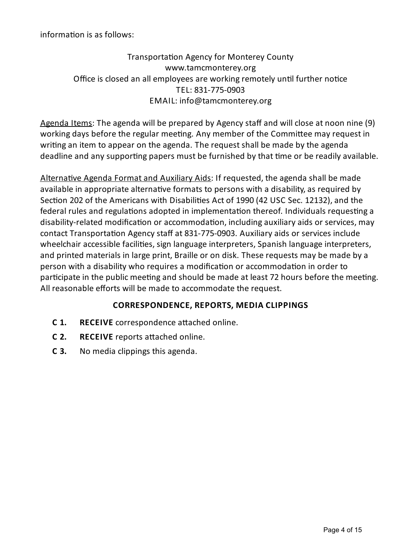information is as follows:

# Transportation Agency for Monterey County www.tamcmonterey.org Office is closed an all employees are working remotely until further notice TEL: 831-775-0903 EMAIL: info@tamcmonterey.org

Agenda Items: The agenda will be prepared by Agency staff and will close at noon nine (9) working days before the regular meeting. Any member of the Committee may request in writing an item to appear on the agenda. The request shall be made by the agenda deadline and any supporting papers must be furnished by that time or be readily available.

Alternative Agenda Format and Auxiliary Aids: If requested, the agenda shall be made available in appropriate alternative formats to persons with a disability, as required by Section 202 of the Americans with Disabilities Act of 1990 (42 USC Sec. 12132), and the federal rules and regulations adopted in implementation thereof. Individuals requesting a disability-related modification or accommodation, including auxiliary aids or services, may contact Transportation Agency staff at 831-775-0903. Auxiliary aids or services include wheelchair accessible facilities, sign language interpreters, Spanish language interpreters, and printed materials in large print, Braille or on disk. These requests may be made bya person with a disability who requires a modification or accommodation in order to participate in the public meeting and should be made at least 72 hours before the meeting. All reasonable efforts will be made to accommodate the request.

# **CORRESPONDENCE, REPORTS, MEDIA CLIPPINGS**

- **C 1.** RECEIVE correspondence attached online.
- **C** 2. **RECEIVE** reports attached online.
- **C 3.** No media clippings this agenda.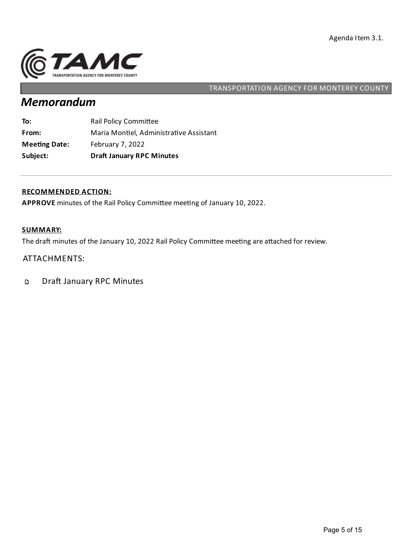

# *Memorandum*

| Subject:             | <b>Draft January RPC Minutes</b>        |
|----------------------|-----------------------------------------|
| <b>Meeting Date:</b> | February 7, 2022                        |
| From:                | Maria Montiel, Administrative Assistant |
| To:                  | <b>Rail Policy Committee</b>            |

#### **RECOMMENDED ACTION:**

APPROVE minutes of the Rail Policy Committee meeting of January 10, 2022.

## **SUMMARY:**

The draft minutes of the January 10, 2022 Rail Policy Committee meeting are attached for review.

## ATTACHMENTS:

Draft January RPC Minutes  $\mathbf D$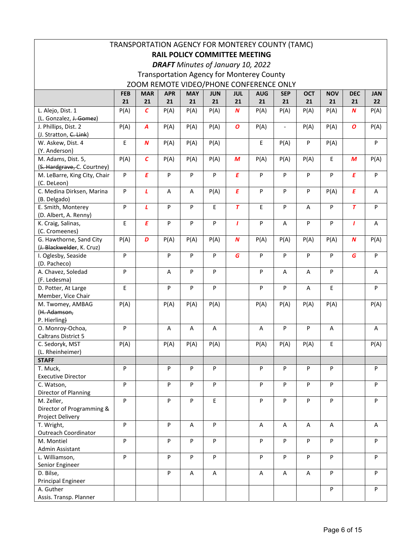| TRANSPORTATION AGENCY FOR MONTEREY COUNTY (TAMC) |            |                  |                           |            |            |                  |                                                  |                          |              |            |            |            |
|--------------------------------------------------|------------|------------------|---------------------------|------------|------------|------------------|--------------------------------------------------|--------------------------|--------------|------------|------------|------------|
| <b>RAIL POLICY COMMITTEE MEETING</b>             |            |                  |                           |            |            |                  |                                                  |                          |              |            |            |            |
|                                                  |            |                  |                           |            |            |                  |                                                  |                          |              |            |            |            |
| <b>DRAFT</b> Minutes of January 10, 2022         |            |                  |                           |            |            |                  |                                                  |                          |              |            |            |            |
|                                                  |            |                  |                           |            |            |                  | <b>Transportation Agency for Monterey County</b> |                          |              |            |            |            |
|                                                  |            |                  |                           |            |            |                  | ZOOM REMOTE VIDEO/PHONE CONFERENCE ONLY          |                          |              |            |            |            |
|                                                  | <b>FEB</b> | <b>MAR</b>       | <b>APR</b>                | <b>MAY</b> | <b>JUN</b> | <b>JUL</b>       | <b>AUG</b>                                       | <b>SEP</b>               | <b>OCT</b>   | <b>NOV</b> | <b>DEC</b> | <b>JAN</b> |
|                                                  | 21         | 21               | 21                        | 21         | 21         | 21               | 21                                               | 21                       | 21           | 21         | 21         | 22         |
| L. Alejo, Dist. 1                                | P(A)       | $\mathcal{C}$    | P(A)                      | P(A)       | P(A)       | $\boldsymbol{N}$ | P(A)                                             | P(A)                     | P(A)         | P(A)       | N          | P(A)       |
| (L. Gonzalez, J. Gomez)                          |            |                  |                           |            |            |                  |                                                  |                          |              |            |            |            |
| J. Phillips, Dist. 2                             | P(A)       | $\boldsymbol{A}$ | P(A)                      | P(A)       | P(A)       | O                | P(A)                                             | $\overline{\phantom{a}}$ | P(A)         | P(A)       | O          | P(A)       |
| (J. Stratton, C. Link)                           |            |                  |                           |            |            |                  |                                                  |                          |              |            |            |            |
| W. Askew, Dist. 4                                | E          | $\boldsymbol{N}$ | P(A)                      | P(A)       | P(A)       |                  | E                                                | P(A)                     | P            | P(A)       |            | P          |
| (Y. Anderson)<br>M. Adams, Dist. 5,              |            | C                |                           |            |            | M                |                                                  |                          |              | E          | M          |            |
| (S. Hardgrave, C. Courtney)                      | P(A)       |                  | P(A)                      | P(A)       | P(A)       |                  | P(A)                                             | P(A)                     | P(A)         |            |            | P(A)       |
| M. LeBarre, King City, Chair                     | P          | Ε                | P                         | P          | P          | Ε                | P                                                | P                        | P            | P          | Ε          | P          |
| (C. DeLeon)                                      |            |                  |                           |            |            |                  |                                                  |                          |              |            |            |            |
| C. Medina Dirksen, Marina                        | P          | L                | Α                         | Α          | P(A)       | E                | P                                                | P                        | P            | P(A)       | E          | Α          |
| (B. Delgado)                                     |            |                  |                           |            |            |                  |                                                  |                          |              |            |            |            |
| E. Smith, Monterey                               | P          | L                | P                         | P          | Ε          | $\overline{r}$   | E                                                | P                        | Α            | P          | $\tau$     | P          |
| (D. Albert, A. Renny)                            |            |                  |                           |            |            |                  |                                                  |                          |              |            |            |            |
| K. Craig, Salinas,                               | E          | E                | $\boldsymbol{\mathsf{P}}$ | P          | P          | $\mathbf{I}$     | P                                                | A                        | P            | ${\sf P}$  | 7          | Α          |
| (C. Cromeenes)                                   |            |                  |                           |            |            |                  |                                                  |                          |              |            |            |            |
| G. Hawthorne, Sand City                          | P(A)       | D                | P(A)                      | P(A)       | P(A)       | $\boldsymbol{N}$ | P(A)                                             | P(A)                     | P(A)         | P(A)       | N          | P(A)       |
| (J. Blackwelder, K. Cruz)                        |            |                  |                           |            |            |                  |                                                  |                          |              |            |            |            |
| I. Oglesby, Seaside                              | P          |                  | ${\sf P}$                 | P          | P          | G                | P                                                | P                        | P            | P          | G          | P          |
| (D. Pacheco)                                     |            |                  |                           |            |            |                  |                                                  |                          |              |            |            |            |
| A. Chavez, Soledad                               | P          |                  | A                         | P          | P          |                  | P                                                | A                        | $\mathsf{A}$ | P          |            | A          |
| (F. Ledesma)                                     |            |                  |                           |            |            |                  |                                                  |                          |              |            |            |            |
| D. Potter, At Large                              | Е          |                  | P                         | P          | P          |                  | P                                                | P                        | Α            | E.         |            | P          |
| Member, Vice Chair<br>M. Twomey, AMBAG           | P(A)       |                  | P(A)                      | P(A)       | P(A)       |                  | P(A)                                             | P(A)                     | P(A)         | P(A)       |            | P(A)       |
| (H. Adamson,                                     |            |                  |                           |            |            |                  |                                                  |                          |              |            |            |            |
| P. Hierling)                                     |            |                  |                           |            |            |                  |                                                  |                          |              |            |            |            |
| O. Monroy-Ochoa,                                 | P          |                  | Α                         | Α          | Α          |                  | Α                                                | P                        | P            | Α          |            | Α          |
| <b>Caltrans District 5</b>                       |            |                  |                           |            |            |                  |                                                  |                          |              |            |            |            |
| C. Sedoryk, MST                                  | P(A)       |                  | P(A)                      | P(A)       | P(A)       |                  | P(A)                                             | P(A)                     | P(A)         | E          |            | P(A)       |
| (L. Rheinheimer)                                 |            |                  |                           |            |            |                  |                                                  |                          |              |            |            |            |
| <b>STAFF</b>                                     |            |                  |                           |            |            |                  |                                                  |                          |              |            |            |            |
| T. Muck,                                         | P          |                  | P                         | P          | P          |                  | P                                                | P                        | P            | P          |            | P          |
| <b>Executive Director</b>                        |            |                  |                           |            |            |                  |                                                  |                          |              |            |            |            |
| C. Watson,                                       | P          |                  | P                         | P          | P          |                  | P                                                | P                        | P            | P          |            | P          |
| Director of Planning                             |            |                  |                           |            |            |                  |                                                  |                          |              |            |            |            |
| M. Zeller,                                       | P          |                  | P                         | P          | E          |                  | P                                                | P                        | P            | ${\sf P}$  |            | P          |
| Director of Programming &                        |            |                  |                           |            |            |                  |                                                  |                          |              |            |            |            |
| Project Delivery<br>T. Wright,                   | P          |                  | P                         | Α          | P          |                  |                                                  |                          |              |            |            |            |
| <b>Outreach Coordinator</b>                      |            |                  |                           |            |            |                  | Α                                                | A                        | Α            | Α          |            | Α          |
| M. Montiel                                       | P          |                  | P                         | P          | P          |                  | P                                                | P                        | P            | P          |            | P          |
| Admin Assistant                                  |            |                  |                           |            |            |                  |                                                  |                          |              |            |            |            |
| L. Williamson,                                   | P          |                  | P                         | P          | P          |                  | P                                                | P                        | P            | ${\sf P}$  |            | P          |
| Senior Engineer                                  |            |                  |                           |            |            |                  |                                                  |                          |              |            |            |            |
| D. Bilse,                                        |            |                  | P                         | A          | Α          |                  | Α                                                | A                        | A            | P          |            | P          |
| <b>Principal Engineer</b>                        |            |                  |                           |            |            |                  |                                                  |                          |              |            |            |            |
| A. Guther                                        |            |                  |                           |            |            |                  |                                                  |                          |              | P          |            | P          |
| Assis. Transp. Planner                           |            |                  |                           |            |            |                  |                                                  |                          |              |            |            |            |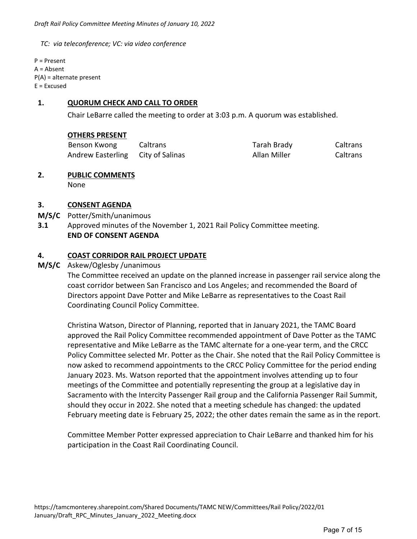*TC: via teleconference; VC: via video conference* 

P = Present A = Absent P(A) = alternate present  $E = Excused$ 

## **1. QUORUM CHECK AND CALL TO ORDER**

Chair LeBarre called the meeting to order at 3:03 p.m. A quorum was established.

#### **OTHERS PRESENT**

| Benson Kwong                      | Caltrans | Tarah Brady  | Caltrans |
|-----------------------------------|----------|--------------|----------|
| Andrew Easterling City of Salinas |          | Allan Miller | Caltrans |

# **2. PUBLIC COMMENTS**

None

## **3. CONSENT AGENDA**

- **M/S/C**  Potter/Smith/unanimous
- **3.1**  Approved minutes of the November 1, 2021 Rail Policy Committee meeting.  **END OF CONSENT AGENDA**

## **4. COAST CORRIDOR RAIL PROJECT UPDATE**

## **M/S/C**  Askew/Oglesby /unanimous

 The Committee received an update on the planned increase in passenger rail service along the coast corridor between San Francisco and Los Angeles; and recommended the Board of Directors appoint Dave Potter and Mike LeBarre as representatives to the Coast Rail Coordinating Council Policy Committee.

Christina Watson, Director of Planning, reported that in January 2021, the TAMC Board approved the Rail Policy Committee recommended appointment of Dave Potter as the TAMC representative and Mike LeBarre as the TAMC alternate for a one‐year term, and the CRCC Policy Committee selected Mr. Potter as the Chair. She noted that the Rail Policy Committee is now asked to recommend appointments to the CRCC Policy Committee for the period ending January 2023. Ms. Watson reported that the appointment involves attending up to four meetings of the Committee and potentially representing the group at a legislative day in Sacramento with the Intercity Passenger Rail group and the California Passenger Rail Summit, should they occur in 2022. She noted that a meeting schedule has changed: the updated February meeting date is February 25, 2022; the other dates remain the same as in the report.

Committee Member Potter expressed appreciation to Chair LeBarre and thanked him for his participation in the Coast Rail Coordinating Council.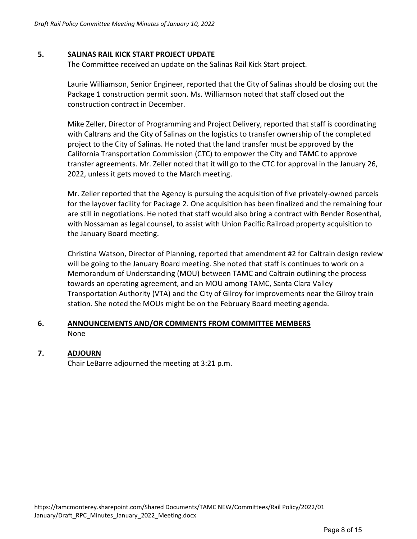## **5. SALINAS RAIL KICK START PROJECT UPDATE**

The Committee received an update on the Salinas Rail Kick Start project.

Laurie Williamson, Senior Engineer, reported that the City of Salinas should be closing out the Package 1 construction permit soon. Ms. Williamson noted that staff closed out the construction contract in December.

Mike Zeller, Director of Programming and Project Delivery, reported that staff is coordinating with Caltrans and the City of Salinas on the logistics to transfer ownership of the completed project to the City of Salinas. He noted that the land transfer must be approved by the California Transportation Commission (CTC) to empower the City and TAMC to approve transfer agreements. Mr. Zeller noted that it will go to the CTC for approval in the January 26, 2022, unless it gets moved to the March meeting.

Mr. Zeller reported that the Agency is pursuing the acquisition of five privately‐owned parcels for the layover facility for Package 2. One acquisition has been finalized and the remaining four are still in negotiations. He noted that staff would also bring a contract with Bender Rosenthal, with Nossaman as legal counsel, to assist with Union Pacific Railroad property acquisition to the January Board meeting.

Christina Watson, Director of Planning, reported that amendment #2 for Caltrain design review will be going to the January Board meeting. She noted that staff is continues to work on a Memorandum of Understanding (MOU) between TAMC and Caltrain outlining the process towards an operating agreement, and an MOU among TAMC, Santa Clara Valley Transportation Authority (VTA) and the City of Gilroy for improvements near the Gilroy train station. She noted the MOUs might be on the February Board meeting agenda.

## **6. ANNOUNCEMENTS AND/OR COMMENTS FROM COMMITTEE MEMBERS**  None

## **7. ADJOURN**

Chair LeBarre adjourned the meeting at 3:21 p.m.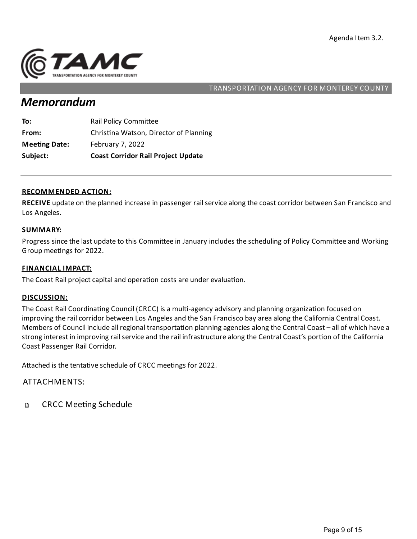

# *Memorandum*

| Subject:             | <b>Coast Corridor Rail Project Update</b> |
|----------------------|-------------------------------------------|
| <b>Meeting Date:</b> | February 7, 2022                          |
| From:                | Christina Watson, Director of Planning    |
| To:                  | Rail Policy Committee                     |

#### **RECOMMENDED ACTION:**

**RECEIVE** update on the planned increase in passenger rail service along the coast corridor between San Francisco and Los Angeles.

#### **SUMMARY:**

Progress since the last update to this Committee in January includes the scheduling of Policy Committee and Working Group meetings for 2022.

#### **FINANCIAL IMPACT:**

The Coast Rail project capital and operation costs are under evaluation.

#### **DISCUSSION:**

The Coast Rail Coordinating Council (CRCC) is a multi-agency advisory and planning organization focused on improving the rail corridor between Los Angeles and the San Francisco bay area along the California Central Coast. Members of Council include all regional transportation planning agencies along the Central Coast – all of which have a strong interest in improving rail service and the rail infrastructure along the Central Coast's portion of the California Coast Passenger Rail Corridor.

Attached is the tentative schedule of CRCC meetings for 2022.

### ATTACHMENTS:

**CRCC Meeting Schedule** D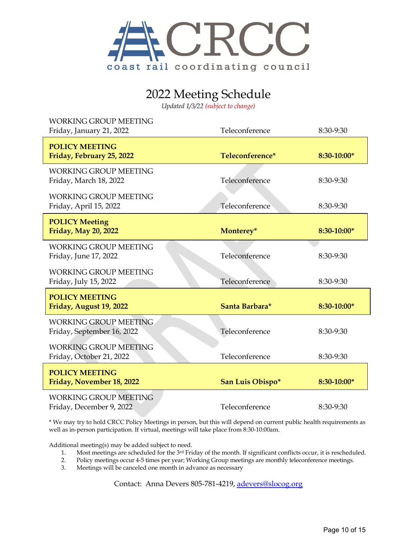

# 2022 Meeting Schedule

*Updated 1/3/22 (subject to change)*

| <b>WORKING GROUP MEETING</b><br>Friday, January 21, 2022   | Teleconference   | 8:30-9:30   |
|------------------------------------------------------------|------------------|-------------|
| <b>POLICY MEETING</b><br>Friday, February 25, 2022         | Teleconference*  | 8:30-10:00* |
| <b>WORKING GROUP MEETING</b><br>Friday, March 18, 2022     | Teleconference   | 8:30-9:30   |
| <b>WORKING GROUP MEETING</b><br>Friday, April 15, 2022     | Teleconference   | 8:30-9:30   |
| <b>POLICY Meeting</b><br>Friday, May 20, 2022              | Monterey*        | 8:30-10:00* |
| <b>WORKING GROUP MEETING</b><br>Friday, June 17, 2022      | Teleconference   | 8:30-9:30   |
| <b>WORKING GROUP MEETING</b><br>Friday, July 15, 2022      | Teleconference   | 8:30-9:30   |
| <b>POLICY MEETING</b><br>Friday, August 19, 2022           | Santa Barbara*   | 8:30-10:00* |
| <b>WORKING GROUP MEETING</b><br>Friday, September 16, 2022 | Teleconference   | 8:30-9:30   |
| <b>WORKING GROUP MEETING</b><br>Friday, October 21, 2022   | Teleconference   | 8:30-9:30   |
| <b>POLICY MEETING</b><br>Friday, November 18, 2022         | San Luis Obispo* | 8:30-10:00* |
| <b>WORKING GROUP MEETING</b><br>Friday, December 9, 2022   | Teleconference   | 8:30-9:30   |

\* We may try to hold CRCC Policy Meetings in person, but this will depend on current public health requirements as well as in-person participation. If virtual, meetings will take place from 8:30-10:00am.

Additional meeting(s) may be added subject to need.

- 1. Most meetings are scheduled for the 3rd Friday of the month. If significant conflicts occur, it is rescheduled.
- 2. Policy meetings occur 4-5 times per year; Working Group meetings are monthly teleconference meetings.
- 3. Meetings will be canceled one month in advance as necessary

Contact: Anna Devers 805-781-4219, [adevers@slocog.org](mailto:adevers@slocog.org)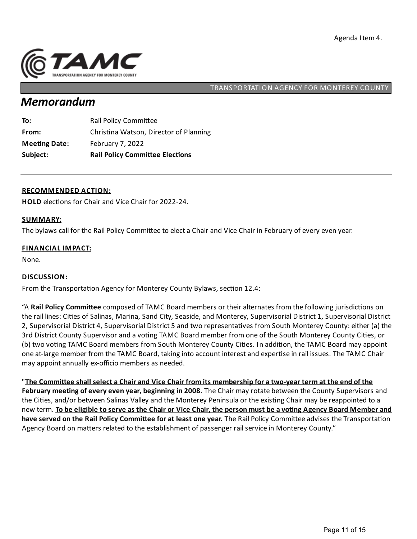

# *Memorandum*

| To:                  | <b>Rail Policy Committee</b>           |
|----------------------|----------------------------------------|
| From:                | Christina Watson, Director of Planning |
| <b>Meeting Date:</b> | February 7, 2022                       |
| Subject:             | <b>Rail Policy Committee Elections</b> |

#### **RECOMMENDED ACTION:**

**HOLD** elections for Chair and Vice Chair for 2022-24.

#### **SUMMARY:**

The bylaws call for the Rail Policy Committee to elect a Chair and Vice Chair in February of every even year.

#### **FINANCIAL IMPACT:**

None.

#### **DISCUSSION:**

From the Transportation Agency for Monterey County Bylaws, section 12.4:

"A Rail Policy Committee composed of TAMC Board members or their alternates from the following jurisdictions on the rail lines: Cities of Salinas, Marina, Sand City, Seaside, and Monterey, Supervisorial District 1, Supervisorial District 2, Supervisorial District 4, Supervisorial District 5 and two representatives from South Monterey County: either (a) the 3rd District County Supervisor and a voting TAMC Board member from one of the South Monterey County Cities, or (b) two voting TAMC Board members from South Monterey County Cities. In addition, the TAMC Board may appoint one at-large member from the TAMC Board, taking into account interest and expertise in rail issues. The TAMC Chair may appoint annually ex-officio members as needed.

"The Committee shall select a Chair and Vice Chair from its membership for a two-year term at the end of the **February mee ng of every even year, beginningin 2008**. The Chair may rotate between the County Supervisors and the Cities, and/or between Salinas Valley and the Monterey Peninsula or the existing Chair may be reappointed to a new term. To be eligible to serve as the Chair or Vice Chair, the person must be a voting Agency Board Member and **have served on the Rail Policy Committee for at least one year. The Rail Policy Committee advises the Transportation** Agency Board on matters related to the establishment of passenger rail service in Monterey County."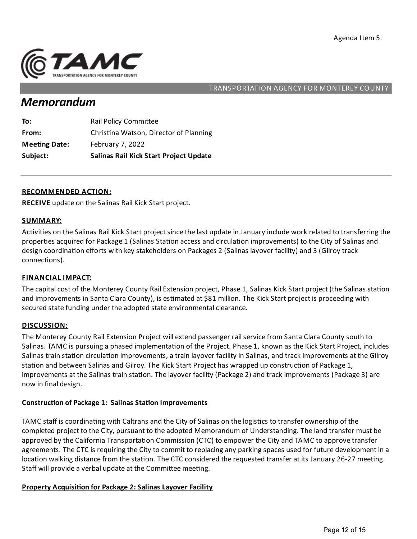

# *Memorandum*

| To:                  | <b>Rail Policy Committee</b>                  |
|----------------------|-----------------------------------------------|
| From:                | Christina Watson, Director of Planning        |
| <b>Meeting Date:</b> | February 7, 2022                              |
| Subject:             | <b>Salinas Rail Kick Start Project Update</b> |

### **RECOMMENDED ACTION:**

**RECEIVE** update on the Salinas Rail Kick Start project.

#### **SUMMARY:**

Activities on the Salinas Rail Kick Start project since the last update in January include work related to transferring the properties acquired for Package 1 (Salinas Station access and circulation improvements) to the City of Salinas and design coordination efforts with key stakeholders on Packages 2 (Salinas layover facility) and 3 (Gilroy track connections).

#### **FINANCIAL IMPACT:**

The capital cost of the Monterey County Rail Extension project, Phase 1, Salinas Kick Start project (the Salinas station and improvements in Santa Clara County), is estimated at \$81 million. The Kick Start project is proceeding with secured state funding under the adopted state environmental clearance.

#### **DISCUSSION:**

The Monterey County Rail Extension Project will extend passenger rail service from Santa Clara County south to Salinas. TAMC is pursuing a phased implementation of the Project. Phase 1, known as the Kick Start Project, includes Salinas train station circulation improvements, a train layover facility in Salinas, and track improvements at the Gilroy station and between Salinas and Gilroy. The Kick Start Project has wrapped up construction of Package 1, improvements at the Salinas train station. The layover facility (Package 2) and track improvements (Package 3) are now in final design.

## **Construction of Package 1: Salinas Station Improvements**

TAMC staff is coordinating with Caltrans and the City of Salinas on the logistics to transfer ownership of the completed project to the City, pursuant to the adopted Memorandum of Understanding. The land transfer must be approved by the California Transportation Commission (CTC) to empower the City and TAMC to approve transfer agreements. The CTC is requiring the City to commit to replacing any parking spaces used for future development in a location walking distance from the station. The CTC considered the requested transfer at its January 26-27 meeting. Staff will provide a verbal update at the Committee meeting.

## **Property Acquisi on for Package 2:Salinas Layover Facility**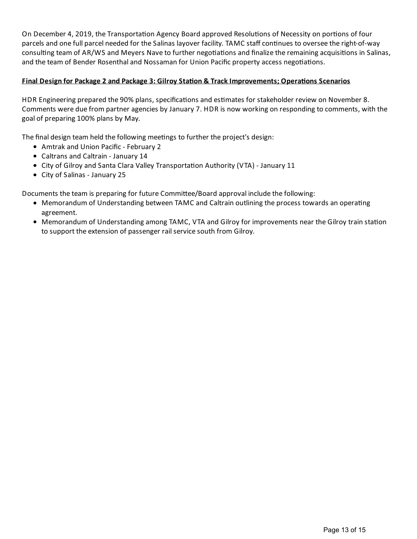On December 4, 2019, the Transportation Agency Board approved Resolutions of Necessity on portions of four parcels and one full parcel needed for the Salinas layover facility. TAMC staff continues to oversee the right-of-way consulting team of AR/WS and Meyers Nave to further negotiations and finalize the remaining acquisitions in Salinas, and the team of Bender Rosenthal and Nossaman for Union Pacific property access negotiations.

## **Final Design for Package 2 and Package 3: Gilroy Sta on & TrackImprovements; Opera ons Scenarios**

HDR Engineering prepared the 90% plans, specifications and estimates for stakeholder review on November 8. Comments were due from partner agencies by January 7. HDR is now working on respondingto comments, with the goal of preparing 100% plans by May.

The final design team held the following meetings to further the project's design:

- Amtrak and Union Pacific February 2
- Caltrans and Caltrain January 14
- City of Gilroy and Santa Clara Valley Transportation Authority (VTA) January 11
- City of Salinas January 25

Documents the team is preparing for future Committee/Board approval include the following:

- Memorandum of Understanding between TAMC and Caltrain outlining the process towards an operating agreement.
- Memorandum of Understanding among TAMC, VTA and Gilroy for improvements near the Gilroy train station to support the extension of passenger rail service south from Gilroy.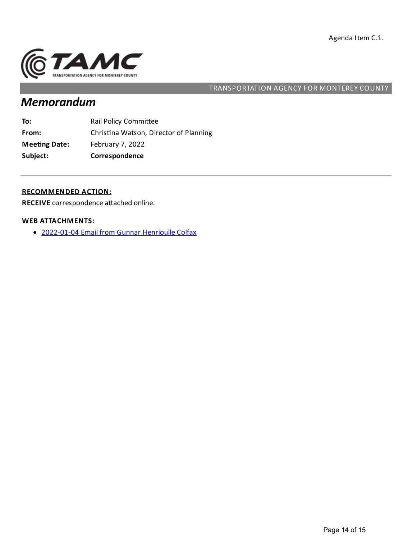

# *Memorandum*

| To:                  | <b>Rail Policy Committee</b>           |
|----------------------|----------------------------------------|
| From:                | Christina Watson, Director of Planning |
| <b>Meeting Date:</b> | February 7, 2022                       |
| Subject:             | Correspondence                         |

### **RECOMMENDED ACTION:**

RECEIVE correspondence attached online.

### **WEB ATTACHMENTS:**

[2022-01-04](https://tamcmonterey.sharepoint.com/:b:/g/EbFoR-cIcA5BrEYTByAI4IYBUiAgSVEbIIsUjkhILuKEaA?e=cVlZQB) Email from Gunnar Henrioulle Colfax